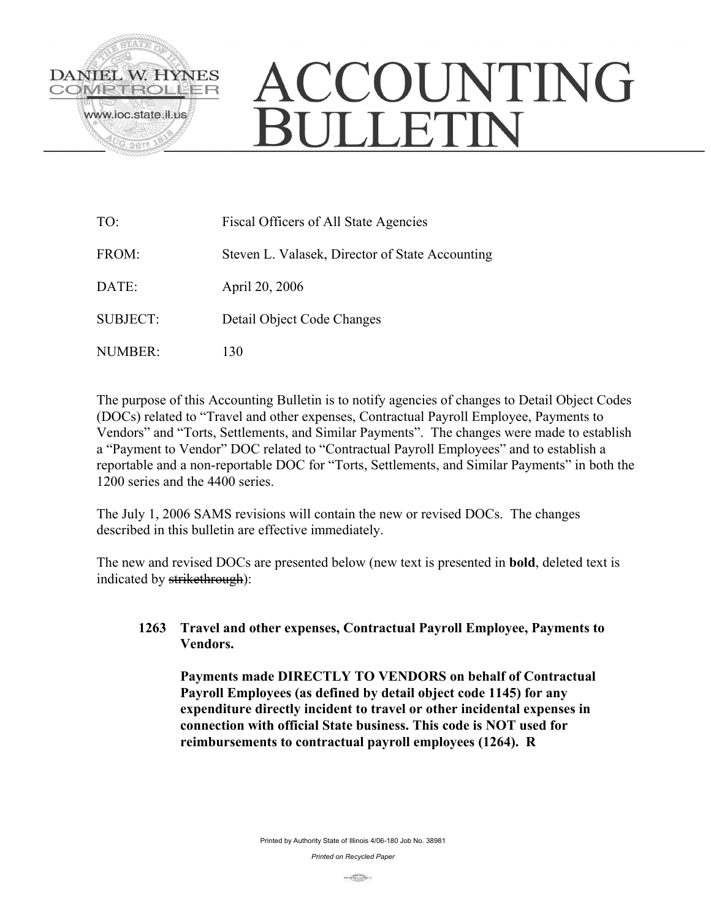

# ACCOUNTING **SULLETIN**

| TO:             | Fiscal Officers of All State Agencies           |
|-----------------|-------------------------------------------------|
| FROM:           | Steven L. Valasek, Director of State Accounting |
| DATE:           | April 20, 2006                                  |
| <b>SUBJECT:</b> | Detail Object Code Changes                      |
| <b>NUMBER:</b>  | 130                                             |

The purpose of this Accounting Bulletin is to notify agencies of changes to Detail Object Codes (DOCs) related to "Travel and other expenses, Contractual Payroll Employee, Payments to Vendors" and "Torts, Settlements, and Similar Payments". The changes were made to establish a "Payment to Vendor" DOC related to "Contractual Payroll Employees" and to establish a reportable and a non-reportable DOC for "Torts, Settlements, and Similar Payments" in both the 1200 series and the 4400 series.

The July 1, 2006 SAMS revisions will contain the new or revised DOCs. The changes described in this bulletin are effective immediately.

The new and revised DOCs are presented below (new text is presented in **bold**, deleted text is indicated by strikethrough):

**1263 Travel and other expenses, Contractual Payroll Employee, Payments to Vendors.** 

**Payments made DIRECTLY TO VENDORS on behalf of Contractual Payroll Employees (as defined by detail object code 1145) for any expenditure directly incident to travel or other incidental expenses in connection with official State business. This code is NOT used for reimbursements to contractual payroll employees (1264). R**

> Printed by Authority State of Illinois 4/06-180 Job No. 38981 *Printed on Recycled Paper*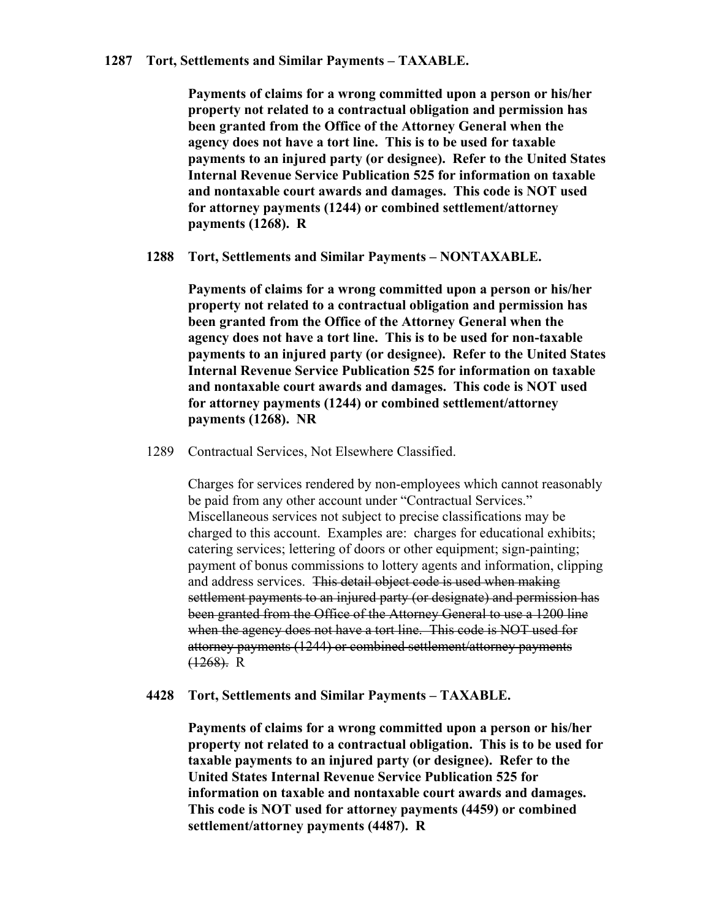## **1287 Tort, Settlements and Similar Payments – TAXABLE.**

**Payments of claims for a wrong committed upon a person or his/her property not related to a contractual obligation and permission has been granted from the Office of the Attorney General when the agency does not have a tort line. This is to be used for taxable payments to an injured party (or designee). Refer to the United States Internal Revenue Service Publication 525 for information on taxable and nontaxable court awards and damages. This code is NOT used for attorney payments (1244) or combined settlement/attorney payments (1268). R** 

## **1288 Tort, Settlements and Similar Payments – NONTAXABLE.**

**Payments of claims for a wrong committed upon a person or his/her property not related to a contractual obligation and permission has been granted from the Office of the Attorney General when the agency does not have a tort line. This is to be used for non-taxable payments to an injured party (or designee). Refer to the United States Internal Revenue Service Publication 525 for information on taxable and nontaxable court awards and damages. This code is NOT used for attorney payments (1244) or combined settlement/attorney payments (1268). NR** 

#### 1289Contractual Services, Not Elsewhere Classified.

Charges for services rendered by non-employees which cannot reasonably be paid from any other account under "Contractual Services." Miscellaneous services not subject to precise classifications may be charged to this account. Examples are: charges for educational exhibits; catering services; lettering of doors or other equipment; sign-painting; payment of bonus commissions to lottery agents and information, clipping and address services. This detail object code is used when making settlement payments to an injured party (or designate) and permission has been granted from the Office of the Attorney General to use a 1200 line when the agency does not have a tort line. This code is NOT used for attorney payments (1244) or combined settlement/attorney payments  $(1268)$ . R

## **4428 Tort, Settlements and Similar Payments – TAXABLE.**

**Payments of claims for a wrong committed upon a person or his/her property not related to a contractual obligation. This is to be used for taxable payments to an injured party (or designee). Refer to the United States Internal Revenue Service Publication 525 for information on taxable and nontaxable court awards and damages. This code is NOT used for attorney payments (4459) or combined settlement/attorney payments (4487). R**